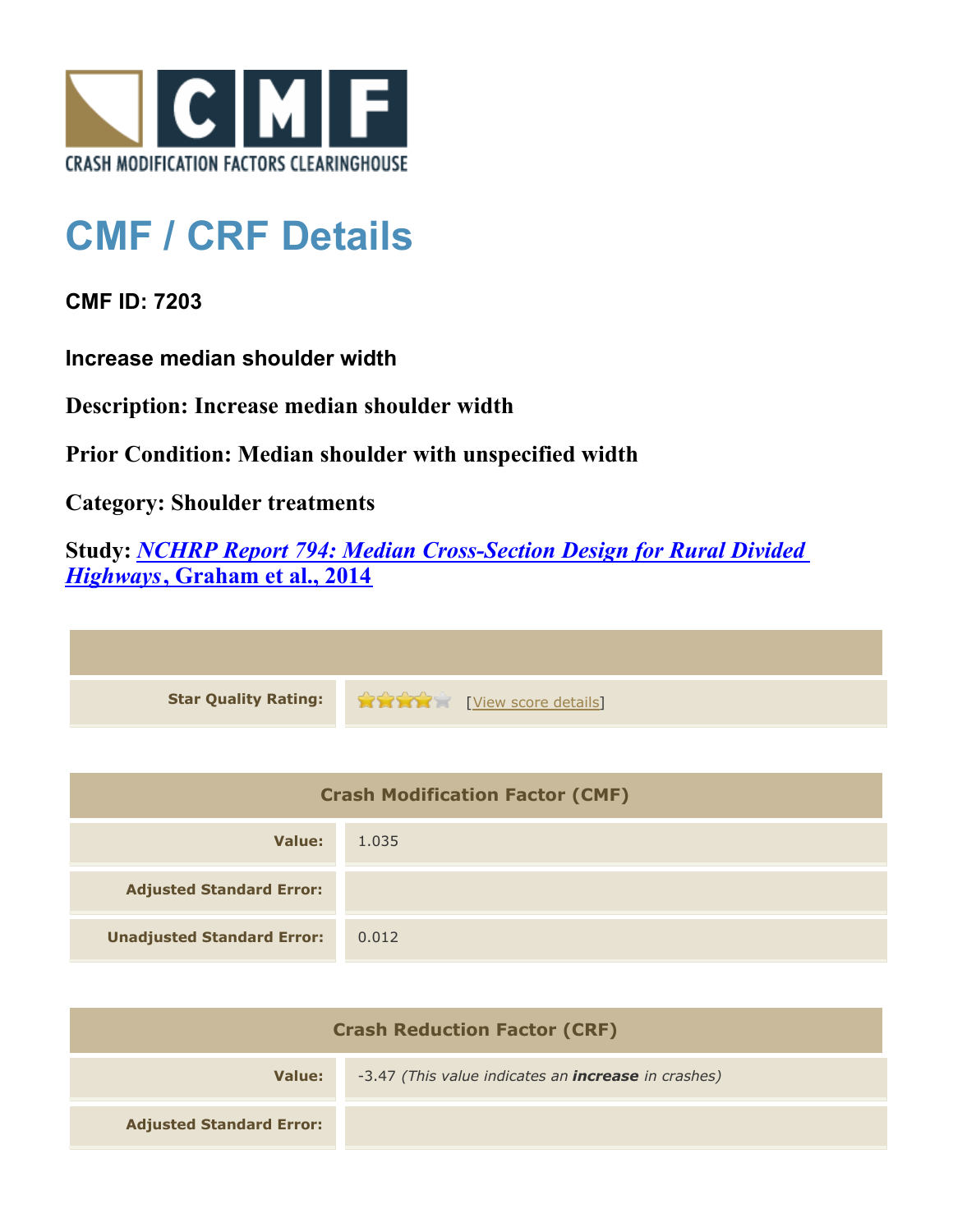

## **CMF / CRF Details**

**CMF ID: 7203**

**Increase median shoulder width**

**Description: Increase median shoulder width**

**Prior Condition: Median shoulder with unspecified width**

**Category: Shoulder treatments**

**Study:** *[NCHRP Report 794: Median Cross-Section Design for Rural Divided](http://www.cmfclearinghouse.org/study_detail.cfm?stid=420) [Highways](http://www.cmfclearinghouse.org/study_detail.cfm?stid=420)***[, Graham et al., 2014](http://www.cmfclearinghouse.org/study_detail.cfm?stid=420)**

**Star Quality Rating:**  $\bullet \bullet \bullet \bullet \bullet$  [[View score details](http://www.cmfclearinghouse.org/score_details.cfm?facid=7203)]

| <b>Crash Modification Factor (CMF)</b> |       |
|----------------------------------------|-------|
| Value:                                 | 1.035 |
| <b>Adjusted Standard Error:</b>        |       |
| <b>Unadjusted Standard Error:</b>      | 0.012 |

| <b>Crash Reduction Factor (CRF)</b> |                                                            |
|-------------------------------------|------------------------------------------------------------|
| Value:                              | -3.47 (This value indicates an <b>increase</b> in crashes) |
| <b>Adjusted Standard Error:</b>     |                                                            |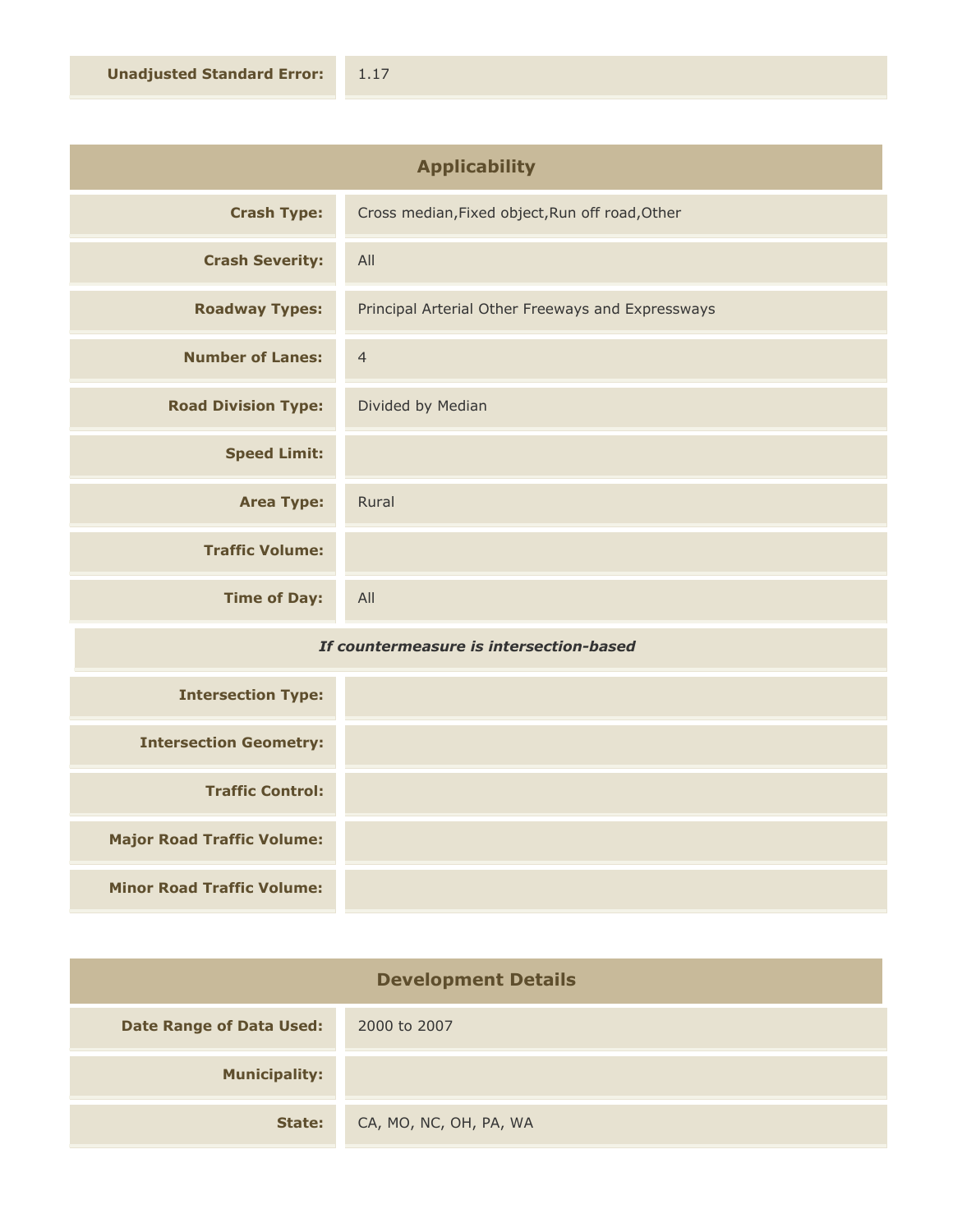| <b>Applicability</b>       |                                                   |
|----------------------------|---------------------------------------------------|
| <b>Crash Type:</b>         | Cross median, Fixed object, Run off road, Other   |
| <b>Crash Severity:</b>     | All                                               |
| <b>Roadway Types:</b>      | Principal Arterial Other Freeways and Expressways |
| <b>Number of Lanes:</b>    | $\overline{4}$                                    |
| <b>Road Division Type:</b> | Divided by Median                                 |
| <b>Speed Limit:</b>        |                                                   |
| <b>Area Type:</b>          | Rural                                             |
| <b>Traffic Volume:</b>     |                                                   |
| <b>Time of Day:</b>        | All                                               |

## *If countermeasure is intersection-based*

| <b>Intersection Type:</b>         |  |
|-----------------------------------|--|
| <b>Intersection Geometry:</b>     |  |
| <b>Traffic Control:</b>           |  |
| <b>Major Road Traffic Volume:</b> |  |
| <b>Minor Road Traffic Volume:</b> |  |

| <b>Development Details</b>      |                        |
|---------------------------------|------------------------|
| <b>Date Range of Data Used:</b> | 2000 to 2007           |
| <b>Municipality:</b>            |                        |
| State:                          | CA, MO, NC, OH, PA, WA |